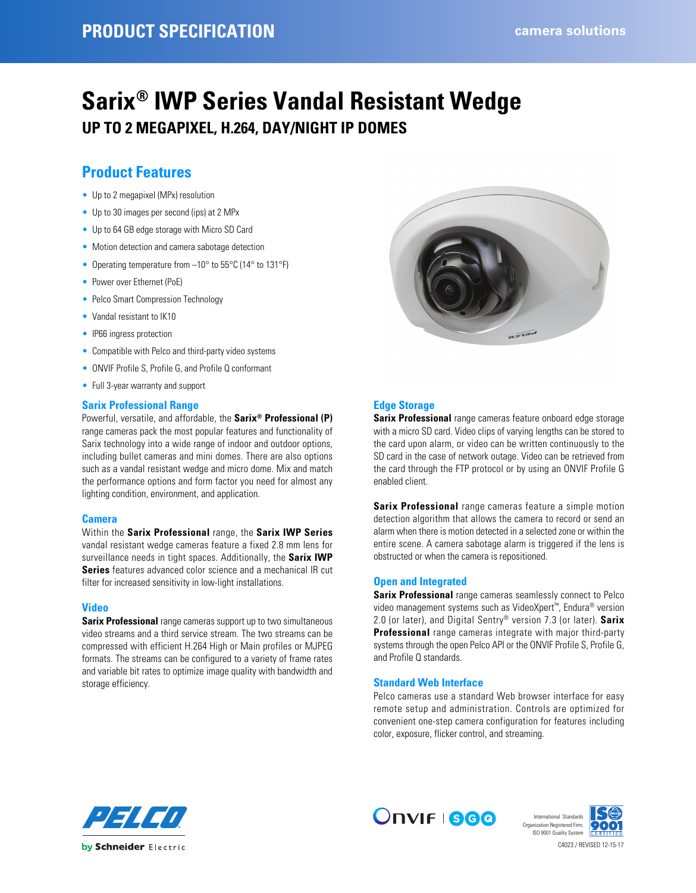# **Sarix® IWP Series Vandal Resistant Wedge UP TO 2 MEGAPIXEL, H.264, DAY/NIGHT IP DOMES**

## **Product Features**

- Up to 2 megapixel (MPx) resolution
- Up to 30 images per second (ips) at 2 MPx
- Up to 64 GB edge storage with Micro SD Card
- Motion detection and camera sabotage detection
- Operating temperature from -10° to 55°C (14° to 131°F)
- Power over Ethernet (PoE)
- Pelco Smart Compression Technology
- Vandal resistant to IK10
- IP66 ingress protection
- Compatible with Pelco and third-party video systems
- ONVIF Profile S, Profile G, and Profile Q conformant
- Full 3-year warranty and support

#### **Sarix Professional Range**

Powerful, versatile, and affordable, the **Sarix® Professional (P)** range cameras pack the most popular features and functionality of Sarix technology into a wide range of indoor and outdoor options, including bullet cameras and mini domes. There are also options such as a vandal resistant wedge and micro dome. Mix and match the performance options and form factor you need for almost any lighting condition, environment, and application.

#### **Camera**

Within the **Sarix Professional** range, the **Sarix IWP Series** vandal resistant wedge cameras feature a fixed 2.8 mm lens for surveillance needs in tight spaces. Additionally, the **Sarix IWP Series** features advanced color science and a mechanical IR cut filter for increased sensitivity in low-light installations.

#### **Video**

**Sarix Professional** range cameras support up to two simultaneous video streams and a third service stream. The two streams can be compressed with efficient H.264 High or Main profiles or MJPEG formats. The streams can be configured to a variety of frame rates and variable bit rates to optimize image quality with bandwidth and storage efficiency.



#### **Edge Storage**

**Sarix Professional** range cameras feature onboard edge storage with a micro SD card. Video clips of varying lengths can be stored to the card upon alarm, or video can be written continuously to the SD card in the case of network outage. Video can be retrieved from the card through the FTP protocol or by using an ONVIF Profile G enabled client.

**Sarix Professional** range cameras feature a simple motion detection algorithm that allows the camera to record or send an alarm when there is motion detected in a selected zone or within the entire scene. A camera sabotage alarm is triggered if the lens is obstructed or when the camera is repositioned.

#### **Open and Integrated**

**Sarix Professional** range cameras seamlessly connect to Pelco video management systems such as VideoXpert™, Endura® version 2.0 (or later), and Digital Sentry® version 7.3 (or later). **Sarix Professional** range cameras integrate with major third-party systems through the open Pelco API or the ONVIF Profile S, Profile G, and Profile Q standards.

#### **Standard Web Interface**

Pelco cameras use a standard Web browser interface for easy remote setup and administration. Controls are optimized for convenient one-step camera configuration for features including color, exposure, flicker control, and streaming.





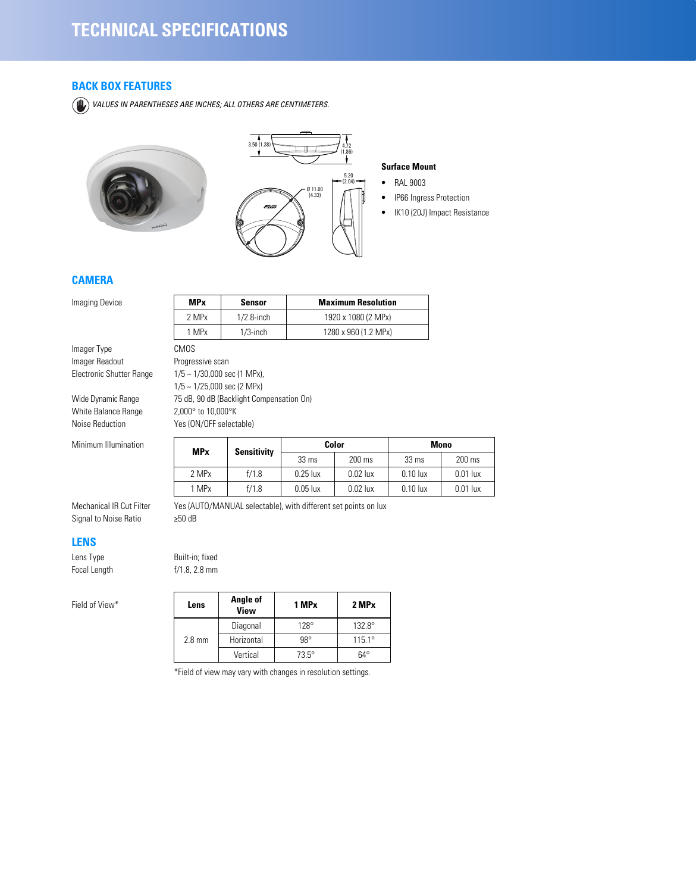## **BACK BOX FEATURES**

*VALUES IN PARENTHESES ARE INCHES; ALL OTHERS ARE CENTIMETERS.*





#### **Surface Mount**

- RAL 9003
- IP66 Ingress Protection
- IK10 (20J) Impact Resistance

## **CAMERA**

**Imaging Device** 

Imager Type Imager Readout Electronic Shutter Range

Wide Dynamic Range White Balance Range Noise Reduction

Minimum Illumination

| <b>MPx</b>                                                                                                                                                      | Sensor                                   | <b>Maximum Resolution</b> |
|-----------------------------------------------------------------------------------------------------------------------------------------------------------------|------------------------------------------|---------------------------|
| 2 MPx                                                                                                                                                           | $1/2.8$ -inch                            | 1920 x 1080 (2 MPx)       |
| 1 MPx                                                                                                                                                           | $1/3$ -inch                              | 1280 x 960 (1.2 MPx)      |
| CMOS<br>Progressive scan<br>$1/5 \sim 1/30,000$ sec (1 MPx),<br>$1/5 \sim 1/25,000$ sec (2 MPx)<br>$2.000^\circ$ to $10,000^\circ$ K<br>Yes (ON/OFF selectable) | 75 dB, 90 dB (Backlight Compensation On) |                           |

| <b>MP</b> <sub>x</sub> | <b>Sensitivity</b> | Color           |            | <b>Mono</b>     |            |
|------------------------|--------------------|-----------------|------------|-----------------|------------|
|                        |                    | $33 \text{ ms}$ | 200 ms     | $33 \text{ ms}$ | 200 ms     |
| 2 MPx                  | f/1.8              | $0.25$ lux      | $0.02$ lux | $0.10$ lux      | $0.01$ lux |
| 1 MPx                  | f/1.8              | $0.05$ lux      | $0.02$ lux | $0.10$ lux      | $0.01$ lux |

Mechanical IR Cut Filter Signal to Noise Ratio

#### **LENS**

Lens Type Built-in; fixed Focal Length f/1.8, 2.8 mm

Field of View\*

| Yes (AUTO/MANUAL selectable), with different set points on lux |  |  |
|----------------------------------------------------------------|--|--|
| ≥50 dB                                                         |  |  |

| Lens             | Angle of<br>View | 1 MP <sub>x</sub> | 2 MPx           |
|------------------|------------------|-------------------|-----------------|
| $2.8 \text{ mm}$ | Diagonal         | $128^\circ$       | $132.8^\circ$   |
|                  | Horizontal       | $98^\circ$        | $115.1^{\circ}$ |
|                  | Vertical         | $73.5^\circ$      | $64^\circ$      |

\*Field of view may vary with changes in resolution settings.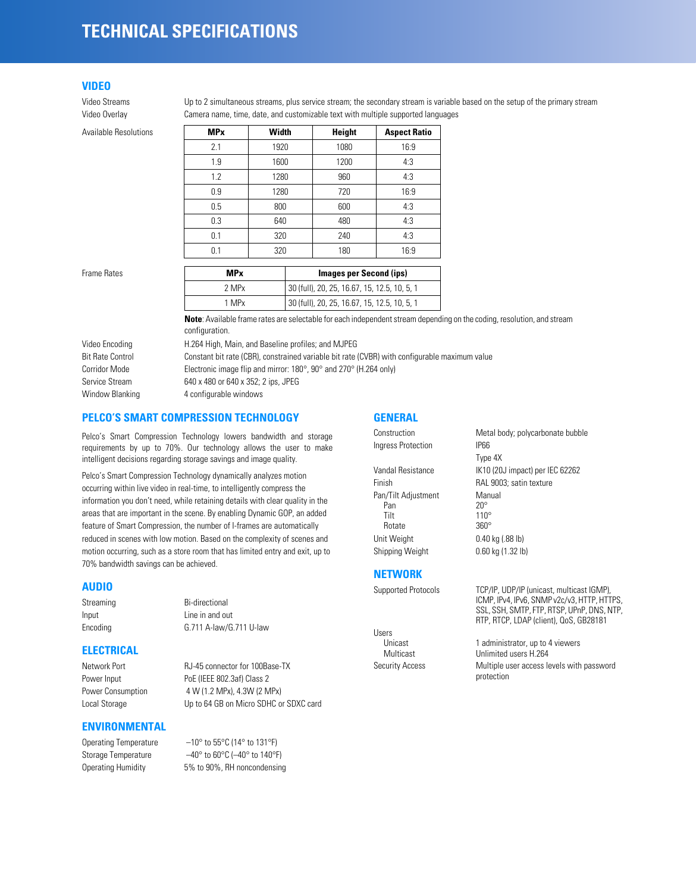## **TECHNICAL SPECIFICATIONS**

## **VIDEO**

**Available Resolutions** 

Video Streams Up to 2 simultaneous streams, plus service stream; the secondary stream is variable based on the setup of the primary stream Video Overlay Camera name, time, date, and customizable text with multiple supported languages

| <b>MP</b> <sub>x</sub> | Width | <b>Height</b> | <b>Aspect Ratio</b> |
|------------------------|-------|---------------|---------------------|
| 2.1                    | 1920  | 1080          | 16:9                |
| 1.9                    | 1600  | 1200          | 4:3                 |
| 1.2                    | 1280  | 960           | 4:3                 |
| 0.9                    | 1280  | 720           | 16:9                |
| 0.5                    | 800   | 600           | 4:3                 |
| 0.3                    | 640   | 480           | 4:3                 |
| 0.1                    | 320   | 240           | 4:3                 |
| 0.1                    | 320   | 180           | 16:9                |
|                        |       |               |                     |

| Frame Rates | <b>MP</b> <sub>x</sub> | Images per Second (ips)                      |
|-------------|------------------------|----------------------------------------------|
|             | 2 MPx                  | 30 (full), 20, 25, 16.67, 15, 12.5, 10, 5, 1 |
|             | 1 MPx                  | 30 (full), 20, 25, 16.67, 15, 12.5, 10, 5, 1 |

**Note**: Available frame rates are selectable for each independent stream depending on the coding, resolution, and stream configuration.

| Video Encoding          | H.264 High, Main, and Baseline profiles; and MJPEG                                            |
|-------------------------|-----------------------------------------------------------------------------------------------|
| <b>Bit Rate Control</b> | Constant bit rate (CBR), constrained variable bit rate (CVBR) with configurable maximum value |
| Corridor Mode           | Electronic image flip and mirror: $180^\circ$ , $90^\circ$ and $270^\circ$ (H.264 only)       |
| Service Stream          | 640 x 480 or 640 x 352; 2 ips, JPEG                                                           |
| Window Blanking         | 4 configurable windows                                                                        |

## **PELCO'S SMART COMPRESSION TECHNOLOGY**

Pelco's Smart Compression Technology lowers bandwidth and storage requirements by up to 70%. Our technology allows the user to make intelligent decisions regarding storage savings and image quality.

Pelco's Smart Compression Technology dynamically analyzes motion occurring within live video in real-time, to intelligently compress the information you don't need, while retaining details with clear quality in the areas that are important in the scene. By enabling Dynamic GOP, an added feature of Smart Compression, the number of I-frames are automatically reduced in scenes with low motion. Based on the complexity of scenes and motion occurring, such as a store room that has limited entry and exit, up to 70% bandwidth savings can be achieved.

#### **AUDIO**

Streaming Bi-directional Input Line in and out Encoding G.711 A-law/G.711 U-law

#### **ELECTRICAL**

Power Input PoE (IEEE 802.3af) Class 2 Power Consumption 4 W (1.2 MPx), 4.3W (2 MPx) Local Storage **Up to 64 GB on Micro SDHC or SDXC card** 

Network Port RJ-45 connector for 100Base-TX

**ENVIRONMENTAL**

Operating Temperature –10° to 55°C (14° to 131°F) Storage Temperature –40° to 60°C (–40° to 140°F) Operating Humidity 5% to 90%, RH noncondensing

## **GENERAL**

Ingress Protection IP66

Pan/Tilt Adjustment Manual<br>Pan 20° Pan 20°<br>Tilt 110 Rotate Unit Weight 0.40 kg (.88 lb) Shipping Weight 0.60 kg (1.32 lb)

Construction Metal body; polycarbonate bubble Type 4X Vandal Resistance IK10 (20J impact) per IEC 62262 Finish RAL 9003; satin texture  $\frac{110^{\circ}}{360^{\circ}}$ 

## **NETWORK**

Users<br>Unicast

Supported Protocols TCP/IP, UDP/IP (unicast, multicast IGMP), ICMP, IPv4, IPv6, SNMP v2c/v3, HTTP, HTTPS, SSL, SSH, SMTP, FTP, RTSP, UPnP, DNS, NTP, RTP, RTCP, LDAP (client), QoS, GB28181

Unicast 1 administrator, up to 4 viewers<br>
Multicast Unlimited users H.264 Unlimited users H.264 Security Access Multiple user access levels with password protection